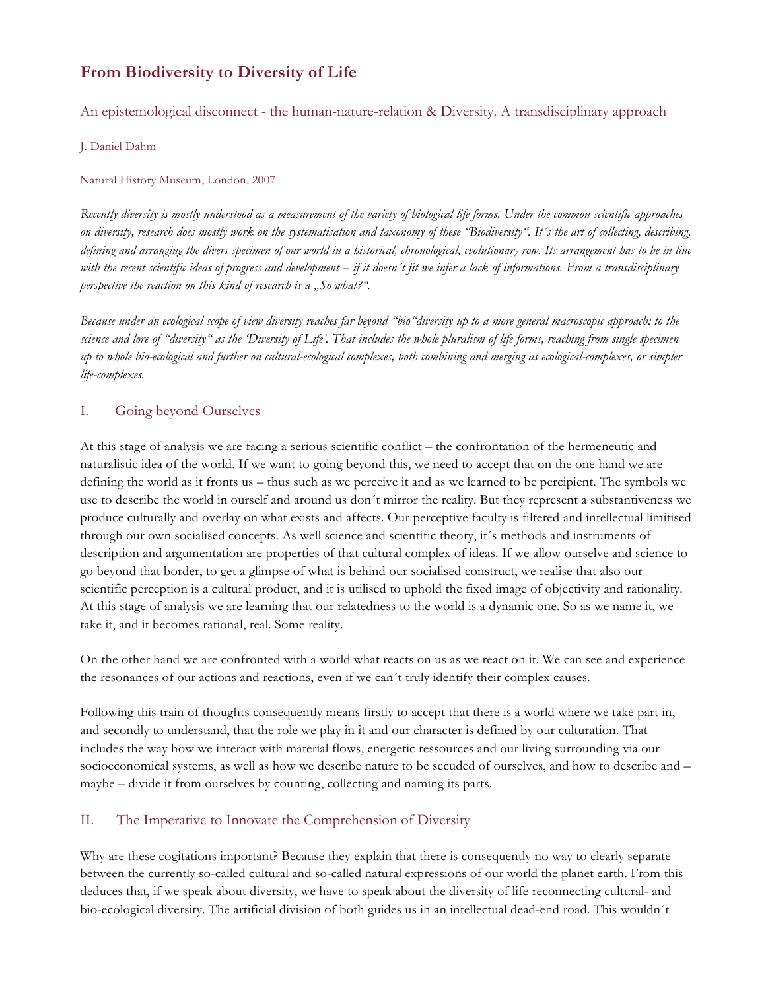## **From Biodiversity to Diversity of Life**

An epistemological disconnect - the human-nature-relation & Diversity. A transdisciplinary approach

J. Daniel Dahm

## Natural History Museum, London, 2007

*Recently diversity is mostly understood as a measurement of the variety of biological life forms. Under the common scientific approaches on diversity, research does mostly work on the systematisation and taxonomy of these "Biodiversity". It´s the art of collecting, describing, defining and arranging the divers specimen of our world in a historical, chronological, evolutionary row. Its arrangement has to be in line with the recent scientific ideas of progress and development – if it doesn´t fit we infer a lack of informations. From a transdisciplinary perspective the reaction on this kind of research is a "So what?".* 

*Because under an ecological scope of view diversity reaches far beyond "bio"diversity up to a more general macroscopic approach: to the science and lore of "diversity" as the 'Diversity of Life'. That includes the whole pluralism of life forms, reaching from single specimen up to whole bio-ecological and further on cultural-ecological complexes, both combining and merging as ecological-complexes, or simpler life-complexes.*

## I. Going beyond Ourselves

At this stage of analysis we are facing a serious scientific conflict – the confrontation of the hermeneutic and naturalistic idea of the world. If we want to going beyond this, we need to accept that on the one hand we are defining the world as it fronts us – thus such as we perceive it and as we learned to be percipient. The symbols we use to describe the world in ourself and around us don´t mirror the reality. But they represent a substantiveness we produce culturally and overlay on what exists and affects. Our perceptive faculty is filtered and intellectual limitised through our own socialised concepts. As well science and scientific theory, it´s methods and instruments of description and argumentation are properties of that cultural complex of ideas. If we allow ourselve and science to go beyond that border, to get a glimpse of what is behind our socialised construct, we realise that also our scientific perception is a cultural product, and it is utilised to uphold the fixed image of objectivity and rationality. At this stage of analysis we are learning that our relatedness to the world is a dynamic one. So as we name it, we take it, and it becomes rational, real. Some reality.

On the other hand we are confronted with a world what reacts on us as we react on it. We can see and experience the resonances of our actions and reactions, even if we can´t truly identify their complex causes.

Following this train of thoughts consequently means firstly to accept that there is a world where we take part in, and secondly to understand, that the role we play in it and our character is defined by our culturation. That includes the way how we interact with material flows, energetic ressources and our living surrounding via our socioeconomical systems, as well as how we describe nature to be secuded of ourselves, and how to describe and – maybe – divide it from ourselves by counting, collecting and naming its parts.

## II. The Imperative to Innovate the Comprehension of Diversity

Why are these cogitations important? Because they explain that there is consequently no way to clearly separate between the currently so-called cultural and so-called natural expressions of our world the planet earth. From this deduces that, if we speak about diversity, we have to speak about the diversity of life reconnecting cultural- and bio-ecological diversity. The artificial division of both guides us in an intellectual dead-end road. This wouldn´t